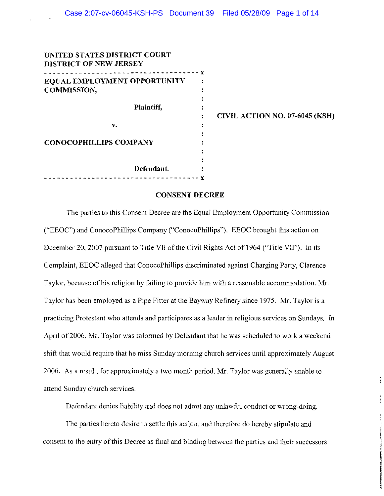| UNITED STATES DISTRICT COURT  |   |
|-------------------------------|---|
| <b>DISTRICT OF NEW JERSEY</b> |   |
|                               | ¥ |
| EQUAL EMPLOYMENT OPPORTUNITY  |   |
| <b>COMMISSION,</b>            |   |
|                               |   |
| <b>Plaintiff,</b>             |   |
|                               |   |
| v.                            |   |
|                               |   |
| <b>CONOCOPHILLIPS COMPANY</b> |   |
|                               |   |
|                               |   |
| Defendant.                    |   |
|                               |   |
|                               |   |

 $\mathbf{z}$ 

CIVIL ACTION NO. 07-6045 (KSH)

#### CONSENT DECREE

The parties to this Consent Decree are the Equal Employment Opportunity Commission ("EEOC") and ConocoPhillips Company ("ConocoPhillips"). EEOC brought this action on December 20, 2007 pursuant to Title VII of the Civil Rights Act of 1964 ("Title VII"). In its Complaint, EEOC alleged that ConocoPhillips discriminated against Charging Party, Clarence Taylor, because of his religion by failing to provide him with a reasonable accommodation. Mr. Taylor has been employed as a Pipe Fitter at the Bayway Refinery since 1975. Mr. Taylor is a practicing Protestant who attends and participates as a leader in religious services on Sundays. In April of 2006, Mr. Taylor was informed by Defendant that he was scheduled to work a weekend shift that would require that he miss Sunday morning church services until approximately August 2006. As a result, for approximately a two month period, Mr. Taylor was generally unable to attend Sunday church services.

Defendant denies liability and does not admit any unlawful conduct or wrong-doing.

The parties hereto desire to settle this action, and therefore do hereby stipulate and consent to the entry of this Decree as final and binding between the parties and their successors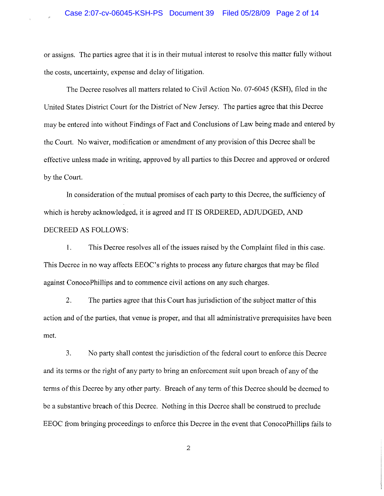### Case 2:07-cv-06045-KSH-PS Document 39 Filed 05/28/09 Page 2 of 14

or assigns. The parties agree that it is in their mutual interest to resolve this matter fully without the costs, uncertainty, expense and delay of litigation.

The Decree resolves all matters related to Civil Action No. 07-6045 (KSH), filed in the United States District Court for the District of New Jersey. The parties agree that this Decree may be entered into without Findings of Fact and Conclusions of Law being made and entered by the Court. No waiver, modification or amendment of any provision of this Decree shall be effective unless made in writing, approved by all parties to this Decree and approved or ordered by the Court.

In consideration of the mutual promises of each party to this Decree, the sufficiency of which is hereby acknowledged, it is agreed and IT IS ORDERED, ADJUDGED, AND DECREED AS FOLLOWS:

I. This Decree resolves all of the issues raised by the Complaint filed in this case. This Decree in no way affects EEOC's rights to process any future charges that may be filed against ConocoPhillips and to commence civil actions on any such charges.

2. The parties agree that this Court has jurisdiction of the subject matter of this action and of the parties, that venue is proper, and that all administrative prerequisites have been met.

3. No party shall contest the jurisdiction of the federal court to enforce this Decree and its terms or the right of any party to bring an enforcement suit upon breach of any of the terms of this Decree by any other party. Breach of any term of this Decree should be deemed to be a substantive breach of this Decree. Nothing in this Decree shall be construed to preclude EEOC from bringing proceedings to enforce this Decree in the event that ConocoPhillips fails to

2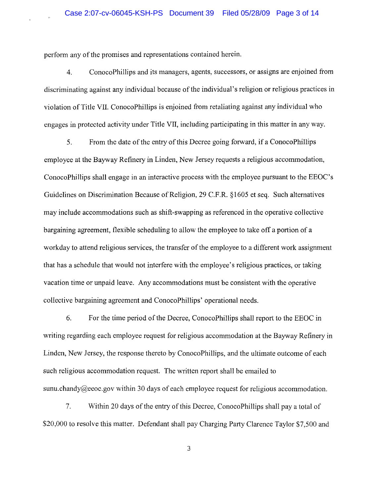perfonn any of the promises and representations contained herein.

4. ConocoPhillips and its managers, agents, successors, or assigns are enjoined from discriminating against any individual because of the individual's religion or religious practices in violation of Title VII. ConocoPhillips is enjoined from retaliating against any individual who engages in protected activity under Title VII, including participating in this matter in any way.

5. From the date of the entry of this Decree going forward, if a ConocoPhillips employee at the Bayway Refinery in Linden, New Jersey requests a religious accommodation, ConocoPhillips shall engage in an interactive process with the employee pursuant to the EEOC's Guidelines on Discrimination Because of Religion, 29 C.F.R. §1605 et seq. Such alternatives may include accommodations such as shift-swapping as referenced in the operative collective bargaining agreement, flexible scheduling to allow the employee to take off a portion of a workday to attend religious services, the transfer of the employee to a different work assignment that has a schedule that would not interfere with the employee's religious practices, or taking vacation time or unpaid leave. Any accommodations must be consistent with the operative collective bargaining agreement and ConocoPhillips' operational needs.

6. For the time period of the Decree, ConocoPhillips shall report to the EEOC in writing regarding each employee request for religious accommodation at the Bayway Refinery in Linden, New Jersey, the response thereto by ConocoPhillips, and the ultimate outcome of each such religious accommodation request. The written report shall be emailed to sunu.chandy@eeoc.gov within 30 days of each employee request for religious accommodation.

7. Within 20 days of the entry of this Decree, ConocoPhillips shall pay a total of \$20,000 to resolve this matter. Defendant shall pay Charging Party Clarence Taylor \$7,500 and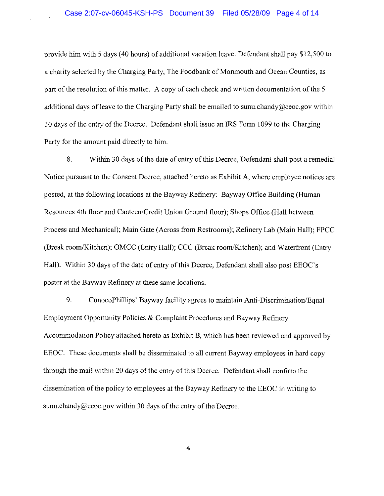provide him with 5 days (40 hours) of additional vacation leave. Defendant shall pay \$12,500 to a charity selected by the Charging Party, The Foodbank of Monmouth and Ocean Counties, as part of the resolution of this matter. A copy of each check and written documentation of the 5 additional days of leave to the Charging Party shall be emailed to sunu.chandy@eeoc.gov within 30 days of the entry of the Decree. Defendant shall issue an **IRS** Form 1099 to the Charging Party for the amount paid directly to him.

8. Within 30 days of the date of entry of this Decree, Defendant shall post a remedial Notice pursuant to the Consent Decree, attached hereto as Exhibit A, where employee notices are posted, at the following locations at the Bayway Refinery: Bayway Office Building (Human Resources 4th floor and Canteen/Credit Union Ground floor); Shops Office (Hall between Process and Mechanical); Main Gate (Across from Restrooms); Refinery Lab (Main Hall); FPCC (Break room/Kitchen); OMCC (Entry Hall); CCC (Break room/Kitchen); and Waterfront (Entry Hall). Within 30 days of the date of entry of this Decree, Defendant shall also post EEOC's poster at the Bayway Refinery at these same locations.

9. ConocoPhillips' Bayway facility agrees to maintain Anti-Discrimination/Equal Employment Opportunity Policies & Complaint Procedures and Bayway Refinery Accommodation Policy attached hereto as Exhibit B, which has been reviewed and approved by EEOC. These documents shall be disseminated to all current Bayway employees in hard copy through the mail within 20 days of the entry of this Decree. Defendant shall confirm the dissemination of the policy to employees at the Bayway Refinery to the EEOC in writing to sunu.chandy@eeoc.gov within 30 days of the entry of the Decree.

4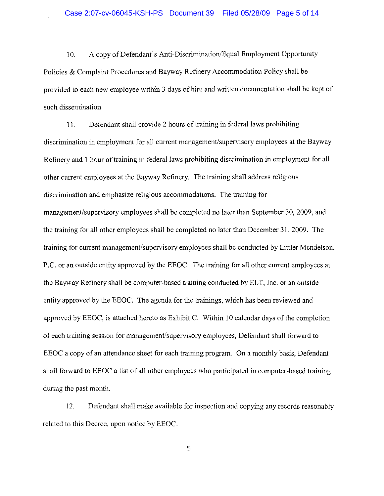10. A copy of Defendant's Anti-Discrimination/Equal Employment Opportunity Policies & Complaint Procedures and Bayway Refinery Accommodation Policy shall be provided to each new employee within 3 days of hire and written documentation shall be kept of such dissemination.

11. Defendant shall provide 2 hours of training in federal laws prohibiting discrimination in employment for all current management/supervisory employees at the Bayway Refinery and 1 hour of training in federal laws prohibiting discrimination in employment for all other current employees at the Bayway Refinery. The training shall address religious discrimination and emphasize religious accommodations. The training for management/supervisory employees shall be completed no later than September 30, 2009, and the training for all other employees shall be completed no later than December 31,2009. The training for current management/supervisory employees shall be conducted by Littler Mendelson, P.C. or an outside entity approved by the EEOC. The training for all other current employees at the Bayway Refinery shall be computer-based training conducted by ELT, Inc. or an outside entity approved by the EEOC. The agenda for the trainings, which has been reviewed and approved by EEOC, is attached hereto as Exhibit C. Within 10 calendar days of the completion of each training session for management/supervisory employees, Defendant shall forward to EEOC a copy of an attendance sheet for each training program. On a monthly basis, Defendant shall forward to EEOC a list of all other employees who participated in computer-based training during the past month.

12. Defendant shall make available for inspection and copying any records reasonably related to this Decree, upon notice by EEOC.

5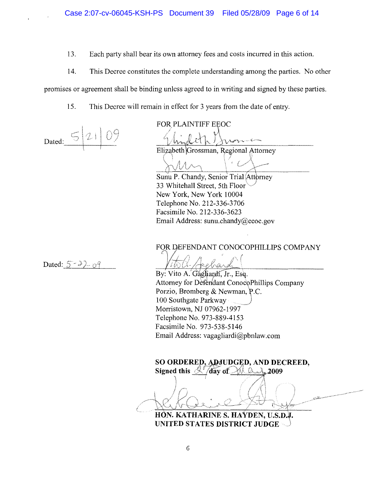13. Each party shall bear its own attorney fees and costs incurred in this action.

14. This Decree constitutes the complete understanding among the parties. No other

promises or agreement shall be binding unless agreed to in writing and signed by these parties.

15. This Decree will remain in effect for 3 years from the date of entry.

Dated:  $\overline{\phantom{a}}$ 

FOR PLAINTIFF EEOC

Elizabeth Grossman, Regional Attorney

\)r, ;! /lv' f~ \ '. *V\--* f)'VV 1 \ 4-

Sunu P. Chandy, Senior Trial (Attorney 33 Whitehall Street, 5th Floor New York, New York 10004 Telephone No. 212-336-3706 Facsimile No. 212-336-3623 Email Address: sunu.chandy@eeoc.gov

FOR DEFENDANT CONOCOPHILLIPS COMPANY

Dated:  $5 - \frac{3}{2} - \frac{9}{9}$ 

*1\_\*11 tG-'-.JLA"*  By: Vito A. Gagliardi, Jr., Esq. Attorney for Defendant ConocoPhillips Company Porzio, Bromberg & Newman, P.C. 100 Southgate Parkway) Morristown, NJ 07962-1997 Telephone No. 973-889-4153 Facsimile No. 973-538-5146 Email Address: vagagliardi@pbnlaw.com

SO ORDERED, ADJUDGED, AND DECREED,

Signed this  $\frac{\mathcal{N}}{\mathcal{N}}$  day of  $\frac{\mathcal{N}}{\mathcal{N}}$  and 2009

HON. KATHARINE S. HAYDEN, U.S.D.J. UNITED STATES DISTRICT JUDGE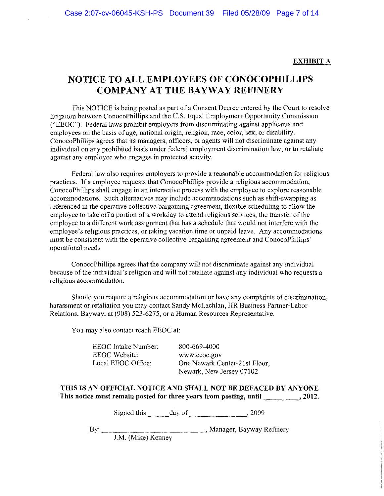### EXHIBIT A

### NOTICE TO ALL EMPLOYEES OF CONOCOPHILLIPS **COMPANY AT THE BAYWAY REFINERY**

This NOTICE is being posted as part of a Consent Decree entered by the Court to resolve litigation between ConocoPhillips and the U.S. Equal Employment Opportunity Commission ("EEOC"). Federal laws prohibit employers from discriminating against applicants and employees on the basis of age, national origin, religion, race, color, sex, or disability. ConocoPhillips agrees that its managers, officers, or agents will not discriminate against any individual on any prohibited basis under federal employment discrimination law, or to retaliate against any employee who engages in protected activity.

Federal law also requires employers to provide a reasonable accommodation for religious practices. If a employee requests that ConocoPhillips provide a religious accommodation, ConocoPhillips shall engage in an interactive process with the employee to explore reasonable accommodations. Such alternatives may include accommodations such as shift-swapping as referenced in the operative collective bargaining agreement, flexible scheduling to allow the employee to take off a portion of a workday to attend religious services, the transfer of the employee to a different work assignment that has a schedule that would not interfere with the employee's religious practices, or taking vacation time or unpaid leave. Any accommodations must be consistent with the operative collective bargaining agreement and ConocoPhillips' operational needs

ConocoPhiIlips agrees that the company will not discriminate against any individual because of the individual's religion and will not retaliate against any individual who requests a religious accommodation.

Should you require a religious accommodation or have any complaints of discrimination, harassment or retaliation you may contact Sandy McLachlan, HR Business Partner-Labor Relations, Bayway, at (908) 523-6275, or a Human Resources Representative.

You may also contact reach EEOC at:

EEOC Intake Number: EEOC Website: Local EEOC Office:

800-669-4000 www.eeoc.gov One Newark Center-21st Floor, Newark, New Jersey 07102

THIS IS AN OFFICIAL NOTICE AND SHALL NOT BE DEFACED BY ANYONE This notice must remain posted for three years from posting, until \_\_\_\_\_\_\_\_\_\_\_\_, 2012.

Signed this \_\_\_\_\_\_ day of \_\_\_\_\_\_\_\_\_\_\_\_\_\_\_\_\_, 2009

By: ---:-c:-::--c::=-:-:c:-------' Manager, Bayway Refinery

J.M. (Mike) Kenney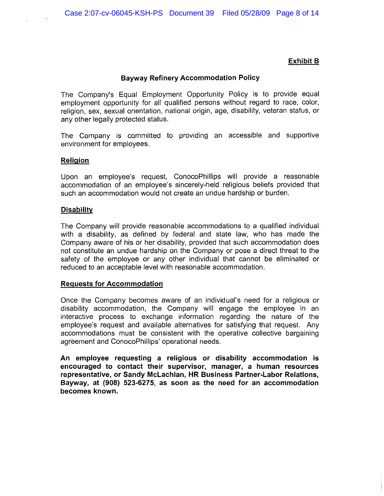### **Exhibit B**

### **Bayway Refinery Accommodation Policy**

The Company's Equal Employment Opportunity Policy is to provide equal employment opportunity for all qualified persons without regard to race, color, religion, sex, sexual orientation, national origin, age, disability, veteran status, or any other legally protected status.

The Company is committed to providing an accessible and supportive environment for employees.

### **Religion**

Upon an employee's request, ConocoPhillips will provide a reasonable accommodation of an employee's sincerely-held religious beliefs provided that such an accommodation would not create an undue hardship or burden.

### **Disability**

The Company will provide reasonable accommodations to a qualified individual with a disability, as defined by federal and state law, who has made the Company aware of his or her disability, provided that such accommodation does not constitute an undue hardship on the Company or pose a direct threat to the safety of the employee or any other individual that cannot be eliminated or reduced to an acceptable level with reasonable accommodation.

### **Requests for Accommodation**

Once the Company becomes aware of an individual's need for a religious or disability accommodation, the Company will engage the employee in an interactive process to exchange information regarding the nature of the employee's request and available alternatives for satisfying that request. Any accommodations must be consistent with the operative collective bargaining agreement and ConocoPhillips' operational needs.

**An employee requesting a religious or disability accommodation is encouraged to contact their supervisor, manager, a human resources representative, or Sandy McLachlan, HR Business Partner-Labor Relations, Bayway, at (908) 523-6275, as soon as the need for an accommodation becomes known.**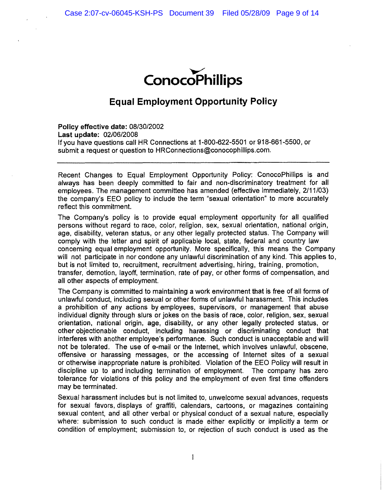

### **Equal Employment Opportunity Policy**

Policy effective date: 08/30/2002 Last update: 02/06/2008 If you have questions call HR Connections at 1-800-622-5501 or 918-661-5500, or submit a request or question to HRConnections@conocophillips.com.

Recent Changes to Equal Employment Opportunity Policy: ConocoPhillips is and always has been deeply committed to fair and non-discriminatory treatment for all employees. The management committee has amended (effective immediately, 2111/03) the company's EEO policy to include the term "sexual orientation" to more accurately reflect this commitment.

The Company's policy is to provide equal employment opportunity for all qualified persons without regard to race, color, religion, sex, sexual orientation, national origin, age, disability, veteran status, or any other legally protected status. The Company will comply with the letter and spirit of applicable local, state, federal and country law concerning equal employment opportunity. More specifically, this means the Company will not participate in nor condone any unlawful discrimination of any kind. This applies to, but is not limited to, recruitment, recruitment advertising, hiring, training, promotion, transfer, demotion, layoff, termination, rate of pay, or other forms of compensation, and all other aspects of employment.

The Company is committed to maintaining a work environment that is free of all forms of unlawful conduct, including sexual or other forms of unlawful harassment. This includes a prohibition of any actions by employees, supervisors, or management that abuse individual dignity through slurs or jokes on the basis of race, color, religion, sex, sexual orientation, national origin, age, disability, or any other legally protected status, or other objectionable conduct, including harassing or discriminating conduct that interferes with another employee's performance. Such conduct is unacceptable and will not be tolerated. The use of e-mail or the Internet, which involves unlawful, obscene, offensive or harassing messages, or the accessing of Internet sites of a sexual or otherwise inappropriate nature is prohibited. Violation of the EEO Policy will result in discipline up to and including termination of employment. The company has zero tolerance for violations of this policy and the employment of even first time offenders may be terminated.

Sexual harassment includes but is not limited to, unwelcome sexual advances, requests for sexual favors, displays of graffiti, calendars, cartoons, or magazines containing sexual content, and all other verbal or physical conduct of a sexual nature, especially where: submission to such conduct is made either explicitly or implicitly a term or condition of employment; submission to, or rejection of such conduct is used as the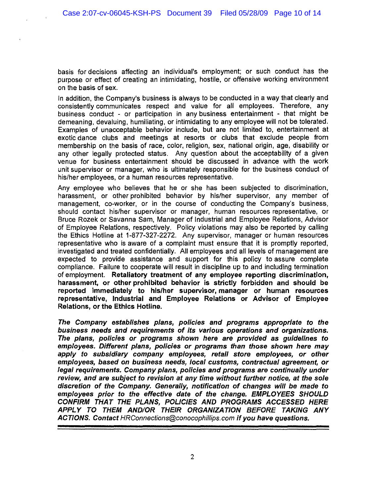basis for decisions affecting an individual's employment; or such conduct has the purpose or effect of creating an intimidating, hostile, or offensive working environment on the basis of sex.

In addition, the Company's business is always to be conducted in a way that clearly and consistently communicates respect and value for all employees. Therefore, any business conduct - or participation in any business entertainment - that might be demeaning, devaluing, humiliating, or intimidating to any employee will not be tolerated. Examples of unacceptable behavior include, but are not limited to, entertainment at exotic dance clubs and meetings at resorts or clubs that exclude people from membership on the basis of race, color, religion, sex, national origin, age, disability or any other legally protected status. Any question about the acceptability of a given venue for business entertainment should be discussed in advance with the work unit supervisor or manager, who is ultimately responsible for the business conduct of his/her employees, or a human resources representative.

Any employee who believes that he or she has been subjected to discrimination, harassment, or other prohibited behavior by his/her supervisor, any member of management, co-worker, or in the course of conducting the Company's business, should contact his/her supervisor or manager, human resources representative, or Bruce Rozek or Savanna Sam, Manager of Industrial and Employee Relations, Advisor of Employee Relations, respectively. Policy violations may also be reported by calling the Ethics Hotline at 1-877-327-2272. Any supervisor, manager or human resources representative who is aware of a complaint must ensure that it is promptly reported, investigated and treated confidentially. All employees and all levels of management are expected to provide assistance and support for this policy to assure complete compliance. Failure to cooperate will result in discipline up to and including termination of employment. Retaliatory treatment of any employee reporting discrimination, harassment, or other prohibited behavior is strictly forbidden and should be reported immediately to his/her supervisor, manager or human resources representative, Industrial and Employee Relations or Advisor of Employee Relations, or the Ethics Hotline.

The Company establishes plans, policies and programs appropriate to the business needs and requirements of its various operations and organizations. The plans, policies or programs shown here are provided as guidelines to employees. Different plans, policies or programs than those shown here may apply to subsidiary company employees, retail store employees, or other employees, based on business needs, local customs, contractual agreement, or legal requirements. Company plans, policies and programs are continually under review, and are subject to revision at any time without further notice, at the sole discretion of the Company. Generally, notification of changes will be made to employees prior to the effective date of the change. EMPLOYEES SHOULD CONFIRM THAT THE PLANS, POLICIES AND PROGRAMS ACCESSED HERE APPLY TO THEM AND/OR THEIR ORGANIZATION BEFORE TAKING ANY ACTIONS. Contact HRConnections@conocophillips.com if you have questions.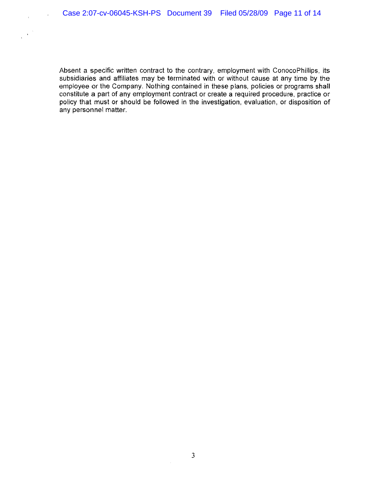$\bar{z}$ 

 $\bar{\lambda}$ 

Absent a specific written contract to the contrary, employment with ConocoPhillips, its subsidiaries and affiliates may be terminated with or without cause at any time by the employee or the Company. Nothing contained in these plans, pOlicies or programs shall constitute a part of any employment contract or create a required procedure, practice or policy that must or should be followed in the investigation, evaluation, or disposition of any personnel matter.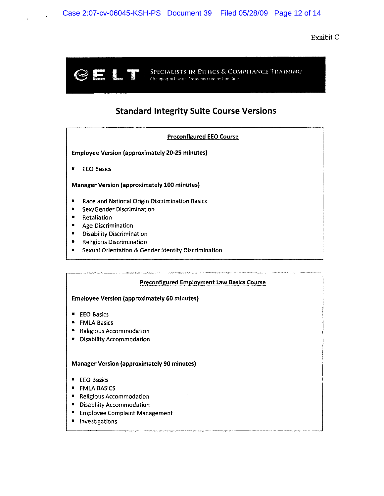Exhibit C



### **Standard Integrity Suite Course Versions**

### Preconflgured EEO Course

Employee Version (approximately 20-25 minutes)

• EEO Basics

Manager Version (approximately 100 minutes)

- Race and National Origin Discrimination Basics
- Sex/Gender Discrimination
- Retaliation
- Age Discrimination
- Disability Discrimination
- Religious Discrimination
- Sexual Orientation & Gender Identity Discrimination

#### Preconfigured Employment Law Basics Course

#### Employee Version (approximately 60 minutes)

- EEO Basics
- FMLA Basics
- Religious Accommodation
- Disability Accommodation

#### Manager Version (approximately 90 minutes)

- **EXECO Basics**
- FMLA BASICS
- Religious Accommodation
- Disability Accommodation
- **Employee Complaint Management**
- Investigations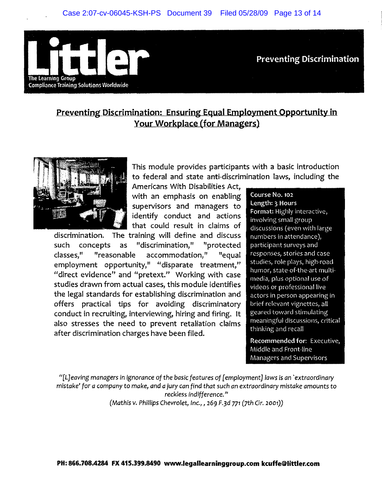

**Preventing Discrimination** 

### **Preventing Discrimination: Ensuring Equal Employment Opportunity in**  Your Workplace (for Managers)



This module provides participants with a basic introduction to federal and state anti-discrimination laws, including the

Americans With Disabilities Act, with an emphasis on enabling supervisors and managers to identify conduct and actions that could result in claims of

discrimination. The training will define and discuss such concepts as "discrimination," "protected classes," "reasonable accommodation," "equal employment opportunity," "disparate treatment," "direct evidence" and "pretext." Working with case studies drawn from actual cases, this module identifies the legal standards for establishing discrimination and offers practical tips for avoiding discriminatory conduct in recruiting, interviewing, hiring and firing. It also stresses the need to prevent retaliation claims after discrimination charges have been filed.

Course No. 102 Length: 3 Hours

Format: Highly interactive, involving small group discussions (even with large numbers in attendance), participant surveys and responses, stories and case studies, role plays, high-road humor, state-of-the-art multimedia, plus optional use of videos or professional live actors in person appearing in brief relevant vignettes, all geared toward stimulating meaningful discussions, critical thinking and recall

Recommended for: Executive, Middle and Front-line Managers and Supervisors

"[LJeaving managers in ignorance of the basic features of [employment] laws is an 'extraordinary mistake' for a company to make, and a jury can find that such an extraordinary mistake amounts to reckless indifference." (Mathis v. Phillips Chevrolet, Inc., , 269 F.3d 771 (7th Cir. 2001))